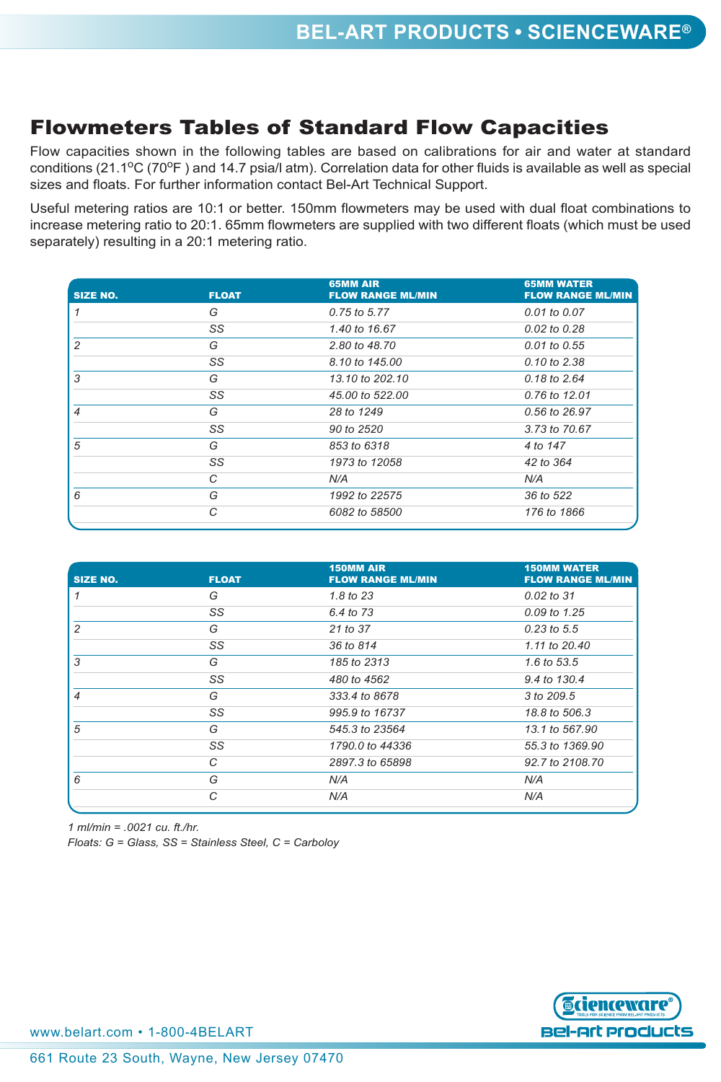## Flowmeters Tables of Standard Flow Capacities

Flow capacities shown in the following tables are based on calibrations for air and water at standard conditions (21.1 $^{\circ}$ C (70 $^{\circ}$ F) and 14.7 psia/l atm). Correlation data for other fluids is available as well as special sizes and floats. For further information contact Bel-Art Technical Support.

Useful metering ratios are 10:1 or better. 150mm flowmeters may be used with dual float combinations to increase metering ratio to 20:1. 65mm flowmeters are supplied with two different floats (which must be used separately) resulting in a 20:1 metering ratio.

| <b>SIZE NO.</b> | <b>FLOAT</b> | <b>65MM AIR</b><br><b>FLOW RANGE ML/MIN</b> | <b>65MM WATER</b><br><b>FLOW RANGE ML/MIN</b> |
|-----------------|--------------|---------------------------------------------|-----------------------------------------------|
| 1               | G            | 0.75 to 5.77                                | 0.01 to 0.07                                  |
|                 | SS           | 1.40 to 16.67                               | 0.02 to 0.28                                  |
| $\overline{c}$  | G            | 2.80 to 48.70                               | 0.01 to 0.55                                  |
|                 | SS           | 8.10 to 145.00                              | 0.10 to 2.38                                  |
| 3               | G            | 13.10 to 202.10                             | 0.18 to 2.64                                  |
|                 | SS           | 45,00 to 522,00                             | 0.76 to 12.01                                 |
| $\overline{4}$  | G            | 28 to 1249                                  | 0.56 to 26.97                                 |
|                 | SS           | 90 to 2520                                  | 3.73 to 70.67                                 |
| 5               | G            | 853 to 6318                                 | 4 to 147                                      |
|                 | SS           | 1973 to 12058                               | 42 to 364                                     |
|                 | C            | N/A                                         | N/A                                           |
| 6               | G            | 1992 to 22575                               | 36 to 522                                     |
|                 | С            | 6082 to 58500                               | 176 to 1866                                   |

| <b>SIZE NO.</b> | <b>FLOAT</b> | <b>150MM AIR</b><br><b>FLOW RANGE ML/MIN</b> | <b>150MM WATER</b><br><b>FLOW RANGE ML/MIN</b> |
|-----------------|--------------|----------------------------------------------|------------------------------------------------|
| 1               | G            | 1.8 to 23                                    | 0.02 to 31                                     |
|                 | SS           | 6.4 to 73                                    | 0.09 to 1.25                                   |
| $\overline{c}$  | G            | 21 to 37                                     | $0.23$ to $5.5$                                |
|                 | SS           | 36 to 814                                    | 1.11 to 20.40                                  |
| 3               | G            | 185 to 2313                                  | 1.6 to 53.5                                    |
|                 | SS           | 480 to 4562                                  | 9.4 to 130.4                                   |
| $\overline{4}$  | G            | 333,4 to 8678                                | 3 to 209.5                                     |
|                 | SS           | 995.9 to 16737                               | 18.8 to 506.3                                  |
| 5               | G            | 545.3 to 23564                               | 13.1 to 567.90                                 |
|                 | SS           | 1790.0 to 44336                              | 55.3 to 1369.90                                |
|                 | C            | 2897.3 to 65898                              | 92.7 to 2108.70                                |
| 6               | G            | N/A                                          | N/A                                            |
|                 | C            | N/A                                          | N/A                                            |
|                 |              |                                              |                                                |

*1 ml/min = .0021 cu. ft./hr.* 

*Floats: G = Glass, SS = Stainless Steel, C = Carboloy*



www.belart.com • 1-800-4BELART